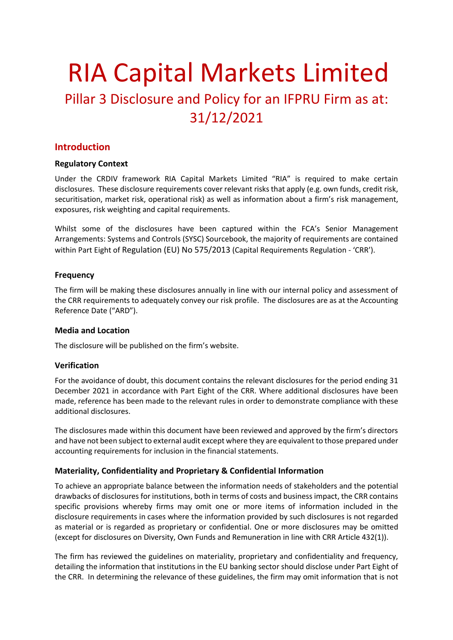# RIA Capital Markets Limited Pillar 3 Disclosure and Policy for an IFPRU Firm as at: 31/12/2021

### **Introduction**

### **Regulatory Context**

Under the CRDIV framework RIA Capital Markets Limited "RIA" is required to make certain disclosures. These disclosure requirements cover relevant risks that apply (e.g. own funds, credit risk, securitisation, market risk, operational risk) as well as information about a firm's risk management, exposures, risk weighting and capital requirements.

Whilst some of the disclosures have been captured within the FCA's Senior Management Arrangements: Systems and Controls (SYSC) Sourcebook, the majority of requirements are contained within Part Eight of Regulation (EU) No 575/2013 (Capital Requirements Regulation - 'CRR').

#### **Frequency**

The firm will be making these disclosures annually in line with our internal policy and assessment of the CRR requirements to adequately convey our risk profile. The disclosures are as at the Accounting Reference Date ("ARD").

#### **Media and Location**

The disclosure will be published on the firm's website.

### **Verification**

For the avoidance of doubt, this document contains the relevant disclosures for the period ending 31 December 2021 in accordance with Part Eight of the CRR. Where additional disclosures have been made, reference has been made to the relevant rules in order to demonstrate compliance with these additional disclosures.

The disclosures made within this document have been reviewed and approved by the firm's directors and have not been subject to external audit except where they are equivalent to those prepared under accounting requirements for inclusion in the financial statements.

### **Materiality, Confidentiality and Proprietary & Confidential Information**

To achieve an appropriate balance between the information needs of stakeholders and the potential drawbacks of disclosures for institutions, both in terms of costs and business impact, the CRR contains specific provisions whereby firms may omit one or more items of information included in the disclosure requirements in cases where the information provided by such disclosures is not regarded as material or is regarded as proprietary or confidential. One or more disclosures may be omitted (except for disclosures on Diversity, Own Funds and Remuneration in line with CRR Article 432(1)).

The firm has reviewed the guidelines on materiality, proprietary and confidentiality and frequency, detailing the information that institutions in the EU banking sector should disclose under Part Eight of the CRR. In determining the relevance of these guidelines, the firm may omit information that is not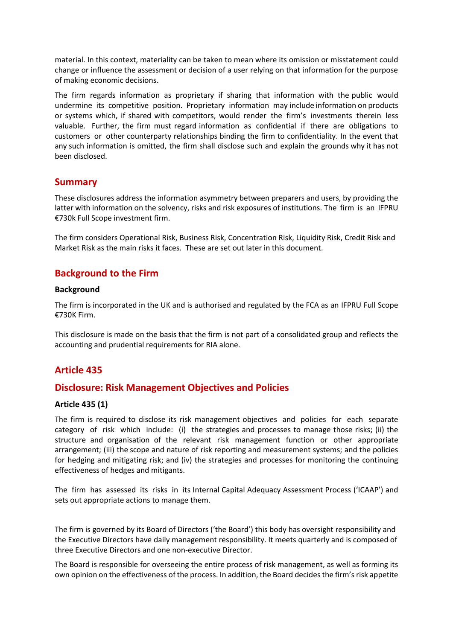material. In this context, materiality can be taken to mean where its omission or misstatement could change or influence the assessment or decision of a user relying on that information for the purpose of making economic decisions.

The firm regards information as proprietary if sharing that information with the public would undermine its competitive position. Proprietary information may include information on products or systems which, if shared with competitors, would render the firm's investments therein less valuable. Further, the firm must regard information as confidential if there are obligations to customers or other counterparty relationships binding the firm to confidentiality. In the event that any such information is omitted, the firm shall disclose such and explain the grounds why it has not been disclosed.

### **Summary**

These disclosures address the information asymmetry between preparers and users, by providing the latter with information on the solvency, risks and risk exposures of institutions. The firm is an IFPRU €730k Full Scope investment firm.

The firm considers Operational Risk, Business Risk, Concentration Risk, Liquidity Risk, Credit Risk and Market Risk as the main risks it faces. These are set out later in this document.

### **Background to the Firm**

#### **Background**

The firm is incorporated in the UK and is authorised and regulated by the FCA as an IFPRU Full Scope €730K Firm.

This disclosure is made on the basis that the firm is not part of a consolidated group and reflects the accounting and prudential requirements for RIA alone.

### **Article 435**

### **Disclosure: Risk Management Objectives and Policies**

### **Article 435 (1)**

The firm is required to disclose its risk management objectives and policies for each separate category of risk which include: (i) the strategies and processes to manage those risks; (ii) the structure and organisation of the relevant risk management function or other appropriate arrangement; (iii) the scope and nature of risk reporting and measurement systems; and the policies for hedging and mitigating risk; and (iv) the strategies and processes for monitoring the continuing effectiveness of hedges and mitigants.

The firm has assessed its risks in its Internal Capital Adequacy Assessment Process ('ICAAP') and sets out appropriate actions to manage them.

The firm is governed by its Board of Directors ('the Board') this body has oversight responsibility and the Executive Directors have daily management responsibility. It meets quarterly and is composed of three Executive Directors and one non-executive Director.

The Board is responsible for overseeing the entire process of risk management, as well as forming its own opinion on the effectiveness of the process. In addition, the Board decidesthe firm's risk appetite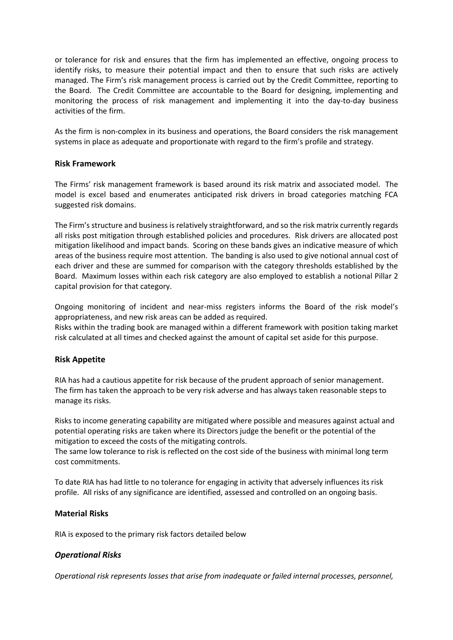or tolerance for risk and ensures that the firm has implemented an effective, ongoing process to identify risks, to measure their potential impact and then to ensure that such risks are actively managed. The Firm's risk management process is carried out by the Credit Committee, reporting to the Board. The Credit Committee are accountable to the Board for designing, implementing and monitoring the process of risk management and implementing it into the day-to-day business activities of the firm.

As the firm is non-complex in its business and operations, the Board considers the risk management systems in place as adequate and proportionate with regard to the firm's profile and strategy.

#### **Risk Framework**

The Firms' risk management framework is based around its risk matrix and associated model. The model is excel based and enumerates anticipated risk drivers in broad categories matching FCA suggested risk domains.

The Firm's structure and business is relatively straightforward, and so the risk matrix currently regards all risks post mitigation through established policies and procedures. Risk drivers are allocated post mitigation likelihood and impact bands. Scoring on these bands gives an indicative measure of which areas of the business require most attention. The banding is also used to give notional annual cost of each driver and these are summed for comparison with the category thresholds established by the Board. Maximum losses within each risk category are also employed to establish a notional Pillar 2 capital provision for that category.

Ongoing monitoring of incident and near-miss registers informs the Board of the risk model's appropriateness, and new risk areas can be added as required.

Risks within the trading book are managed within a different framework with position taking market risk calculated at all times and checked against the amount of capital set aside for this purpose.

### **Risk Appetite**

RIA has had a cautious appetite for risk because of the prudent approach of senior management. The firm has taken the approach to be very risk adverse and has always taken reasonable steps to manage its risks.

Risks to income generating capability are mitigated where possible and measures against actual and potential operating risks are taken where its Directors judge the benefit or the potential of the mitigation to exceed the costs of the mitigating controls.

The same low tolerance to risk is reflected on the cost side of the business with minimal long term cost commitments.

To date RIA has had little to no tolerance for engaging in activity that adversely influences its risk profile. All risks of any significance are identified, assessed and controlled on an ongoing basis.

#### **Material Risks**

RIA is exposed to the primary risk factors detailed below

### *Operational Risks*

*Operational risk represents losses that arise from inadequate or failed internal processes, personnel,*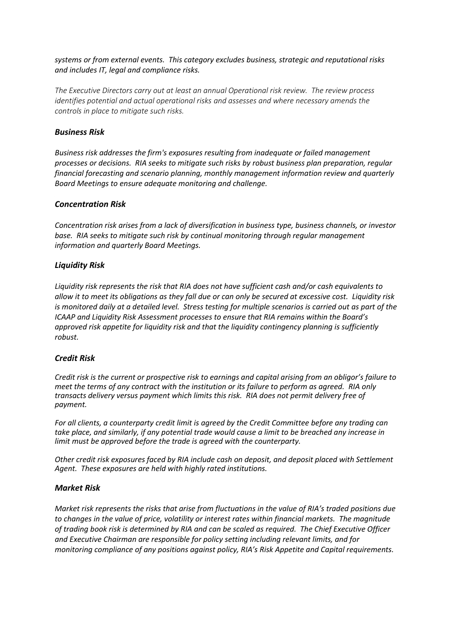*systems or from external events. This category excludes business, strategic and reputational risks and includes IT, legal and compliance risks.*

*The Executive Directors carry out at least an annual Operational risk review. The review process identifies potential and actual operational risks and assesses and where necessary amends the controls in place to mitigate such risks.* 

#### *Business Risk*

*Business risk addresses the firm's exposures resulting from inadequate or failed management processes or decisions. RIA seeks to mitigate such risks by robust business plan preparation, regular financial forecasting and scenario planning, monthly management information review and quarterly Board Meetings to ensure adequate monitoring and challenge.*

#### *Concentration Risk*

*Concentration risk arises from a lack of diversification in business type, business channels, or investor base. RIA seeks to mitigate such risk by continual monitoring through regular management information and quarterly Board Meetings.*

#### *Liquidity Risk*

*Liquidity risk represents the risk that RIA does not have sufficient cash and/or cash equivalents to allow it to meet its obligations as they fall due or can only be secured at excessive cost. Liquidity risk is monitored daily at a detailed level. Stress testing for multiple scenarios is carried out as part of the ICAAP and Liquidity Risk Assessment processes to ensure that RIA remains within the Board's approved risk appetite for liquidity risk and that the liquidity contingency planning is sufficiently robust.*

### *Credit Risk*

*Credit risk is the current or prospective risk to earnings and capital arising from an obligor's failure to meet the terms of any contract with the institution or its failure to perform as agreed. RIA only transacts delivery versus payment which limits this risk. RIA does not permit delivery free of payment.*

*For all clients, a counterparty credit limit is agreed by the Credit Committee before any trading can take place, and similarly, if any potential trade would cause a limit to be breached any increase in limit must be approved before the trade is agreed with the counterparty.*

*Other credit risk exposures faced by RIA include cash on deposit, and deposit placed with Settlement Agent. These exposures are held with highly rated institutions.*

#### *Market Risk*

*Market risk represents the risks that arise from fluctuations in the value of RIA's traded positions due to changes in the value of price, volatility or interest rates within financial markets. The magnitude of trading book risk is determined by RIA and can be scaled as required. The Chief Executive Officer and Executive Chairman are responsible for policy setting including relevant limits, and for monitoring compliance of any positions against policy, RIA's Risk Appetite and Capital requirements.*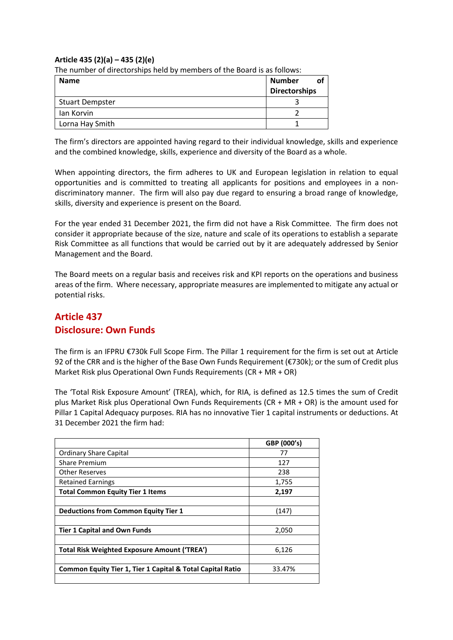### **Article 435 (2)(a) – 435 (2)(e)**

The number of directorships held by members of the Board is as follows:

| <b>Name</b>            | <b>Number</b><br>Οt<br><b>Directorships</b> |
|------------------------|---------------------------------------------|
| <b>Stuart Dempster</b> |                                             |
| lan Korvin             |                                             |
| Lorna Hay Smith        |                                             |

The firm's directors are appointed having regard to their individual knowledge, skills and experience and the combined knowledge, skills, experience and diversity of the Board as a whole.

When appointing directors, the firm adheres to UK and European legislation in relation to equal opportunities and is committed to treating all applicants for positions and employees in a nondiscriminatory manner. The firm will also pay due regard to ensuring a broad range of knowledge, skills, diversity and experience is present on the Board.

For the year ended 31 December 2021, the firm did not have a Risk Committee. The firm does not consider it appropriate because of the size, nature and scale of its operations to establish a separate Risk Committee as all functions that would be carried out by it are adequately addressed by Senior Management and the Board.

The Board meets on a regular basis and receives risk and KPI reports on the operations and business areas of the firm. Where necessary, appropriate measures are implemented to mitigate any actual or potential risks.

# **Article 437 Disclosure: Own Funds**

The firm is an IFPRU €730k Full Scope Firm. The Pillar 1 requirement for the firm is set out at Article 92 of the CRR and is the higher of the Base Own Funds Requirement ( $\epsilon$ 730k); or the sum of Credit plus Market Risk plus Operational Own Funds Requirements (CR + MR + OR)

The 'Total Risk Exposure Amount' (TREA), which, for RIA, is defined as 12.5 times the sum of Credit plus Market Risk plus Operational Own Funds Requirements (CR + MR + OR) is the amount used for Pillar 1 Capital Adequacy purposes. RIA has no innovative Tier 1 capital instruments or deductions. At 31 December 2021 the firm had:

|                                                                       | GBP (000's) |
|-----------------------------------------------------------------------|-------------|
| <b>Ordinary Share Capital</b>                                         | 77          |
| <b>Share Premium</b>                                                  | 127         |
| <b>Other Reserves</b>                                                 | 238         |
| <b>Retained Earnings</b>                                              | 1,755       |
| <b>Total Common Equity Tier 1 Items</b>                               | 2,197       |
|                                                                       |             |
| <b>Deductions from Common Equity Tier 1</b>                           | (147)       |
|                                                                       |             |
| <b>Tier 1 Capital and Own Funds</b>                                   | 2,050       |
|                                                                       |             |
| <b>Total Risk Weighted Exposure Amount ('TREA')</b>                   | 6,126       |
|                                                                       |             |
| <b>Common Equity Tier 1, Tier 1 Capital &amp; Total Capital Ratio</b> | 33.47%      |
|                                                                       |             |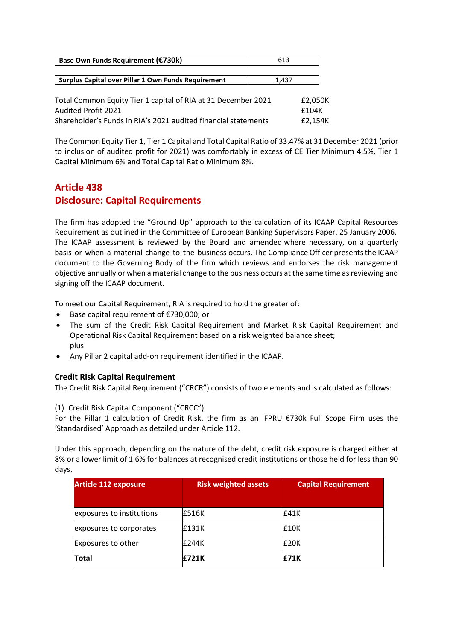| Base Own Funds Requirement (€730k)                  | 613   |
|-----------------------------------------------------|-------|
|                                                     |       |
| Surplus Capital over Pillar 1 Own Funds Requirement | 1.437 |
|                                                     |       |

| Total Common Equity Tier 1 capital of RIA at 31 December 2021  | £2.050K |
|----------------------------------------------------------------|---------|
| Audited Profit 2021                                            | £104K   |
| Shareholder's Funds in RIA's 2021 audited financial statements | £2.154K |

The Common Equity Tier 1, Tier 1 Capital and Total Capital Ratio of 33.47% at 31 December 2021 (prior to inclusion of audited profit for 2021) was comfortably in excess of CE Tier Minimum 4.5%, Tier 1 Capital Minimum 6% and Total Capital Ratio Minimum 8%.

# **Article 438 Disclosure: Capital Requirements**

The firm has adopted the "Ground Up" approach to the calculation of its ICAAP Capital Resources Requirement as outlined in the Committee of European Banking Supervisors Paper, 25 January 2006. The ICAAP assessment is reviewed by the Board and amended where necessary, on a quarterly basis or when a material change to the business occurs. The Compliance Officer presents the ICAAP document to the Governing Body of the firm which reviews and endorses the risk management objective annually or when a material change to the business occurs at the same time asreviewing and signing off the ICAAP document.

To meet our Capital Requirement, RIA is required to hold the greater of:

- Base capital requirement of €730,000; or
- The sum of the Credit Risk Capital Requirement and Market Risk Capital Requirement and Operational Risk Capital Requirement based on a risk weighted balance sheet; plus
- Any Pillar 2 capital add-on requirement identified in the ICAAP.

### **Credit Risk Capital Requirement**

The Credit Risk Capital Requirement ("CRCR") consists of two elements and is calculated as follows:

(1) Credit Risk Capital Component ("CRCC")

For the Pillar 1 calculation of Credit Risk, the firm as an IFPRU €730k Full Scope Firm uses the 'Standardised' Approach as detailed under Article 112.

Under this approach, depending on the nature of the debt, credit risk exposure is charged either at 8% or a lower limit of 1.6% for balances at recognised credit institutions or those held for less than 90 days.

| <b>Article 112 exposure</b> | <b>Risk weighted assets</b> | <b>Capital Requirement</b> |
|-----------------------------|-----------------------------|----------------------------|
| exposures to institutions   | <b>E516K</b>                | <b>E41K</b>                |
| exposures to corporates     | £131K                       | £10K                       |
| Exposures to other          | £244K                       | £20K                       |
| <b>Total</b>                | £721K                       | <b>E71K</b>                |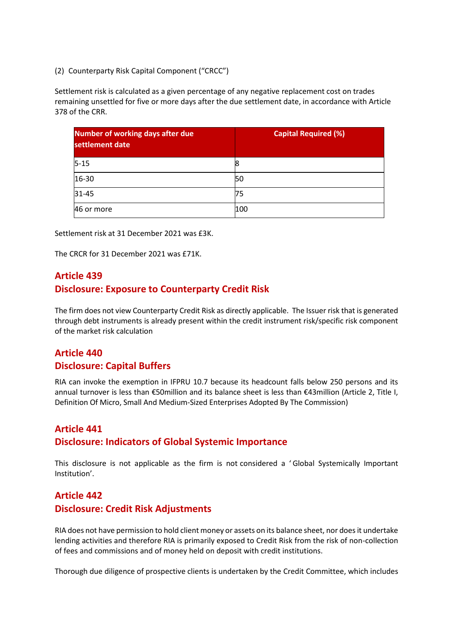(2) Counterparty Risk Capital Component ("CRCC")

Settlement risk is calculated as a given percentage of any negative replacement cost on trades remaining unsettled for five or more days after the due settlement date, in accordance with Article 378 of the CRR.

| <b>Number of working days after due</b><br>settlement date | <b>Capital Required (%)</b> |
|------------------------------------------------------------|-----------------------------|
| $5 - 15$                                                   | 8                           |
| 16-30                                                      | 50                          |
| $31 - 45$                                                  | 75                          |
| 46 or more                                                 | 100                         |

Settlement risk at 31 December 2021 was £3K.

The CRCR for 31 December 2021 was £71K.

# **Article 439 Disclosure: Exposure to Counterparty Credit Risk**

The firm does not view Counterparty Credit Risk as directly applicable. The Issuer risk that is generated through debt instruments is already present within the credit instrument risk/specific risk component of the market risk calculation

# **Article 440 Disclosure: Capital Buffers**

RIA can invoke the exemption in IFPRU 10.7 because its headcount falls below 250 persons and its annual turnover is less than €50million and its balance sheet is less than €43million (Article 2, Title I, Definition Of Micro, Small And Medium-Sized Enterprises Adopted By The Commission)

### **Article 441**

### **Disclosure: Indicators of Global Systemic Importance**

This disclosure is not applicable as the firm is not considered a ' Global Systemically Important Institution'.

# **Article 442 Disclosure: Credit Risk Adjustments**

RIA does not have permission to hold client money or assets on its balance sheet, nor does it undertake lending activities and therefore RIA is primarily exposed to Credit Risk from the risk of non-collection of fees and commissions and of money held on deposit with credit institutions.

Thorough due diligence of prospective clients is undertaken by the Credit Committee, which includes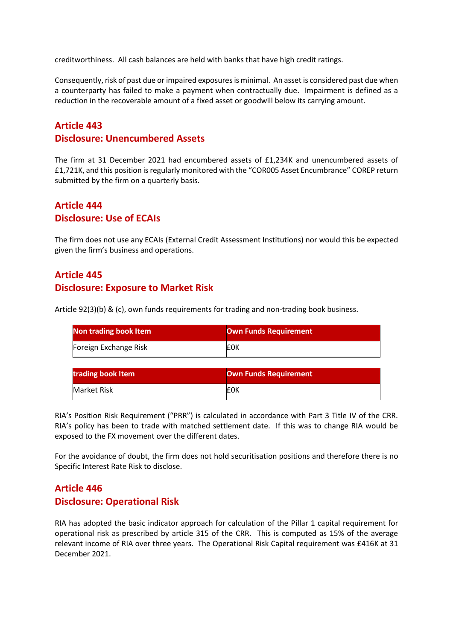creditworthiness. All cash balances are held with banks that have high credit ratings.

Consequently, risk of past due or impaired exposures is minimal. An asset is considered past due when a counterparty has failed to make a payment when contractually due. Impairment is defined as a reduction in the recoverable amount of a fixed asset or goodwill below its carrying amount.

### **Article 443**

### **Disclosure: Unencumbered Assets**

The firm at 31 December 2021 had encumbered assets of £1,234K and unencumbered assets of £1,721K, and this position is regularly monitored with the "COR005 Asset Encumbrance" COREP return submitted by the firm on a quarterly basis.

# **Article 444 Disclosure: Use of ECAIs**

The firm does not use any ECAIs (External Credit Assessment Institutions) nor would this be expected given the firm's business and operations.

# **Article 445 Disclosure: Exposure to Market Risk**

Article 92(3)(b) & (c), own funds requirements for trading and non-trading book business.

| Non trading book Item | Own Funds Requirement |
|-----------------------|-----------------------|
| Foreign Exchange Risk | <b>EOK</b>            |

| trading book Item | <b>Own Funds Requirement</b> |
|-------------------|------------------------------|
| Market Risk       | <b>EOK</b>                   |

RIA's Position Risk Requirement ("PRR") is calculated in accordance with Part 3 Title IV of the CRR. RIA's policy has been to trade with matched settlement date. If this was to change RIA would be exposed to the FX movement over the different dates.

For the avoidance of doubt, the firm does not hold securitisation positions and therefore there is no Specific Interest Rate Risk to disclose.

### **Article 446 Disclosure: Operational Risk**

RIA has adopted the basic indicator approach for calculation of the Pillar 1 capital requirement for operational risk as prescribed by article 315 of the CRR. This is computed as 15% of the average relevant income of RIA over three years. The Operational Risk Capital requirement was £416K at 31 December 2021.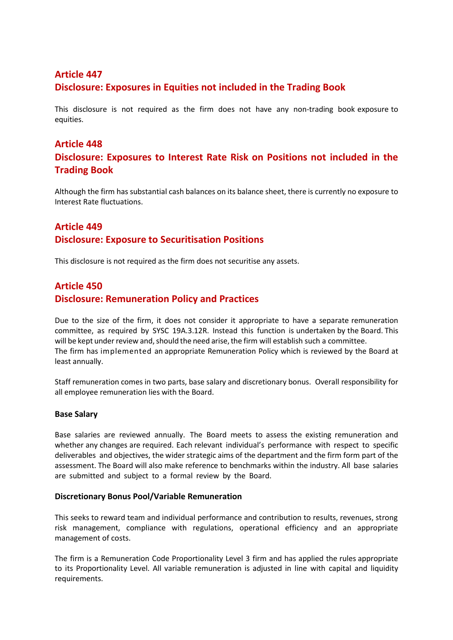# **Article 447 Disclosure: Exposures in Equities not included in the Trading Book**

This disclosure is not required as the firm does not have any non-trading book exposure to equities.

### **Article 448**

## **Disclosure: Exposures to Interest Rate Risk on Positions not included in the Trading Book**

Although the firm has substantial cash balances on its balance sheet, there is currently no exposure to Interest Rate fluctuations.

# **Article 449 Disclosure: Exposure to Securitisation Positions**

This disclosure is not required as the firm does not securitise any assets.

### **Article 450**

### **Disclosure: Remuneration Policy and Practices**

Due to the size of the firm, it does not consider it appropriate to have a separate remuneration committee, as required by SYSC 19A.3.12R. Instead this function is undertaken by the Board. This will be kept under review and, should the need arise, the firm will establish such a committee. The firm has implemented an appropriate Remuneration Policy which is reviewed by the Board at least annually.

Staff remuneration comes in two parts, base salary and discretionary bonus. Overall responsibility for all employee remuneration lies with the Board.

#### **Base Salary**

Base salaries are reviewed annually. The Board meets to assess the existing remuneration and whether any changes are required. Each relevant individual's performance with respect to specific deliverables and objectives, the wider strategic aims of the department and the firm form part of the assessment. The Board will also make reference to benchmarks within the industry. All base salaries are submitted and subject to a formal review by the Board.

#### **Discretionary Bonus Pool/Variable Remuneration**

This seeks to reward team and individual performance and contribution to results, revenues, strong risk management, compliance with regulations, operational efficiency and an appropriate management of costs.

The firm is a Remuneration Code Proportionality Level 3 firm and has applied the rules appropriate to its Proportionality Level. All variable remuneration is adjusted in line with capital and liquidity requirements.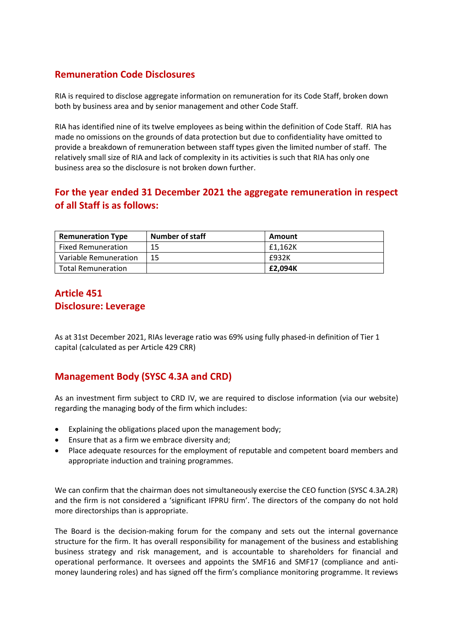# **Remuneration Code Disclosures**

RIA is required to disclose aggregate information on remuneration for its Code Staff, broken down both by business area and by senior management and other Code Staff.

RIA has identified nine of its twelve employees as being within the definition of Code Staff. RIA has made no omissions on the grounds of data protection but due to confidentiality have omitted to provide a breakdown of remuneration between staff types given the limited number of staff. The relatively small size of RIA and lack of complexity in its activities is such that RIA has only one business area so the disclosure is not broken down further.

# **For the year ended 31 December 2021 the aggregate remuneration in respect of all Staff is as follows:**

| <b>Remuneration Type</b>  | <b>Number of staff</b> | Amount  |
|---------------------------|------------------------|---------|
| <b>Fixed Remuneration</b> | 15                     | £1.162K |
| Variable Remuneration     | 15                     | £932K   |
| Total Remuneration        |                        | £2.094K |

## **Article 451 Disclosure: Leverage**

As at 31st December 2021, RIAs leverage ratio was 69% using fully phased-in definition of Tier 1 capital (calculated as per Article 429 CRR)

# **Management Body (SYSC 4.3A and CRD)**

As an investment firm subject to CRD IV, we are required to disclose information (via our website) regarding the managing body of the firm which includes:

- Explaining the obligations placed upon the management body;
- Ensure that as a firm we embrace diversity and;
- Place adequate resources for the employment of reputable and competent board members and appropriate induction and training programmes.

We can confirm that the chairman does not simultaneously exercise the CEO function (SYSC 4.3A.2R) and the firm is not considered a 'significant IFPRU firm'. The directors of the company do not hold more directorships than is appropriate.

The Board is the decision-making forum for the company and sets out the internal governance structure for the firm. It has overall responsibility for management of the business and establishing business strategy and risk management, and is accountable to shareholders for financial and operational performance. It oversees and appoints the SMF16 and SMF17 (compliance and antimoney laundering roles) and has signed off the firm's compliance monitoring programme. It reviews